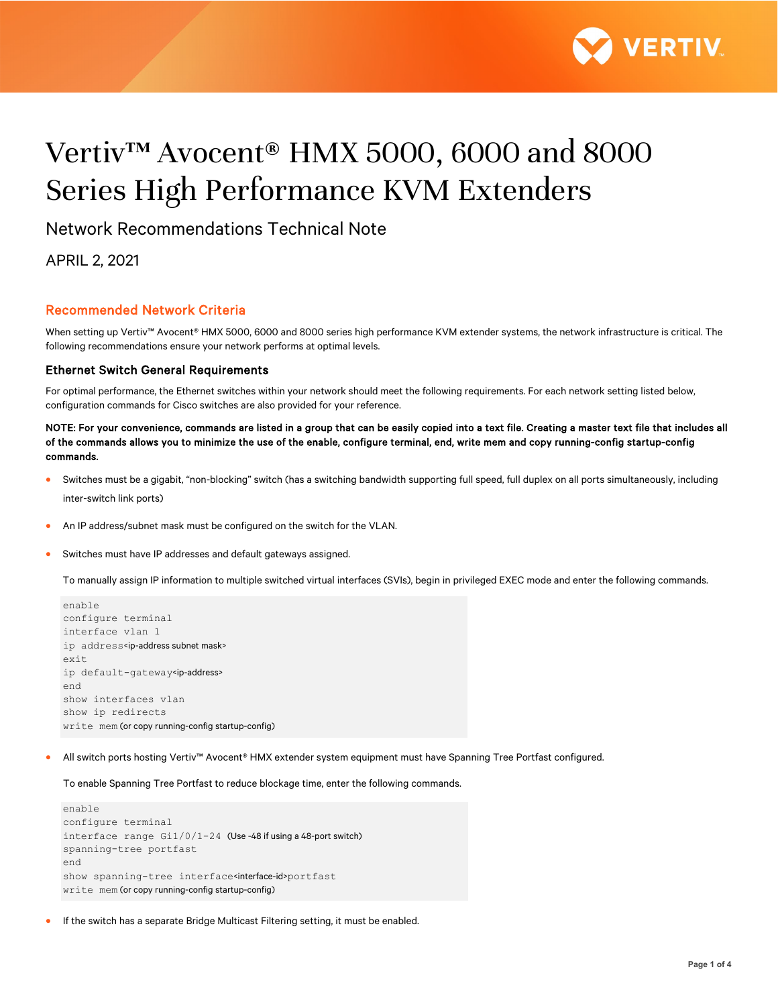

# Vertiv™ Avocent® HMX 5000, 6000 and 8000 Series High Performance KVM Extenders

Network Recommendations Technical Note

APRIL 2, 2021

## Recommended Network Criteria

When setting up Vertiv™ Avocent® HMX 5000, 6000 and 8000 series high performance KVM extender systems, the network infrastructure is critical. The following recommendations ensure your network performs at optimal levels.

## Ethernet Switch General Requirements

For optimal performance, the Ethernet switches within your network should meet the following requirements. For each network setting listed below, configuration commands for Cisco switches are also provided for your reference.

NOTE: For your convenience, commands are listed in a group that can be easily copied into a text file. Creating a master text file that includes all of the commands allows you to minimize the use of the enable, configure terminal, end, write mem and copy running-config startup-config commands.

- Switches must be a gigabit, "non-blocking" switch (has a switching bandwidth supporting full speed, full duplex on all ports simultaneously, including inter-switch link ports)
- An IP address/subnet mask must be configured on the switch for the VLAN.
- Switches must have IP addresses and default gateways assigned.

To manually assign IP information to multiple switched virtual interfaces (SVIs), begin in privileged EXEC mode and enter the following commands.

```
enable
configure terminal
interface vlan 1
ip address<ip-address subnet mask>
exit
ip default-gateway<ip-address>
end
show interfaces vlan
show ip redirects
write mem (or copy running-config startup-config)
```
• All switch ports hosting Vertiv™ Avocent® HMX extender system equipment must have Spanning Tree Portfast configured.

To enable Spanning Tree Portfast to reduce blockage time, enter the following commands.

```
enable
configure terminal
interface range Gi1/0/1-24 (Use -48 if using a 48-port switch)
spanning-tree portfast
end
show spanning-tree interface<interface-id>portfast
write mem (or copy running-config startup-config)
```
• If the switch has a separate Bridge Multicast Filtering setting, it must be enabled.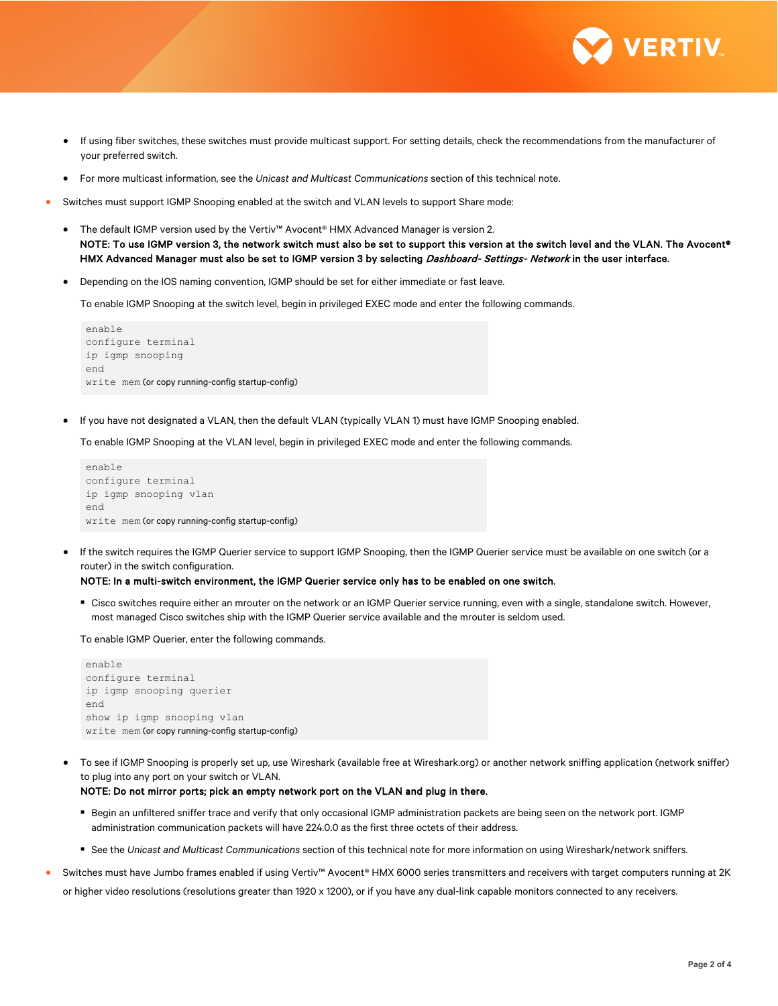

- If using fiber switches, these switches must provide multicast support. For setting details, check the recommendations from the manufacturer of your preferred switch.
- For more multicast information, see the *Unicast and Multicast Communications* section of this technical note.
- Switches must support IGMP Snooping enabled at the switch and VLAN levels to support Share mode:
	- The default IGMP version used by the Vertiv™ Avocent® HMX Advanced Manager is version 2. NOTE: To use IGMP version 3, the network switch must also be set to support this version at the switch level and the VLAN. The Avocent® HMX Advanced Manager must also be set to IGMP version 3 by selecting Dashboard- Settings- Network in the user interface.
	- Depending on the IOS naming convention, IGMP should be set for either immediate or fast leave.

To enable IGMP Snooping at the switch level, begin in privileged EXEC mode and enter the following commands.

```
enable
configure terminal
ip igmp snooping
end
write mem (or copy running-config startup-config)
```
• If you have not designated a VLAN, then the default VLAN (typically VLAN 1) must have IGMP Snooping enabled.

To enable IGMP Snooping at the VLAN level, begin in privileged EXEC mode and enter the following commands.

```
enable
configure terminal
ip igmp snooping vlan
end
write mem (or copy running-config startup-config)
```
• If the switch requires the IGMP Querier service to support IGMP Snooping, then the IGMP Querier service must be available on one switch (or a router) in the switch configuration.

#### NOTE: In a multi-switch environment, the IGMP Querier service only has to be enabled on one switch.

 Cisco switches require either an mrouter on the network or an IGMP Querier service running, even with a single, standalone switch. However, most managed Cisco switches ship with the IGMP Querier service available and the mrouter is seldom used.

To enable IGMP Querier, enter the following commands.

```
enable
configure terminal
ip igmp snooping querier
end
show ip igmp snooping vlan
write mem (or copy running-config startup-config)
```
• To see if IGMP Snooping is properly set up, use Wireshark (available free at Wireshark.org) or another network sniffing application (network sniffer) to plug into any port on your switch or VLAN.

#### NOTE: Do not mirror ports; pick an empty network port on the VLAN and plug in there.

- **Begin an unfiltered sniffer trace and verify that only occasional IGMP administration packets are being seen on the network port. IGMP** administration communication packets will have 224.0.0 as the first three octets of their address.
- See the *Unicast and Multicast Communications* section of this technical note for more information on using Wireshark/network sniffers.
- Switches must have Jumbo frames enabled if using Vertiv™ Avocent® HMX 6000 series transmitters and receivers with target computers running at 2K

or higher video resolutions (resolutions greater than 1920 x 1200), or if you have any dual-link capable monitors connected to any receivers.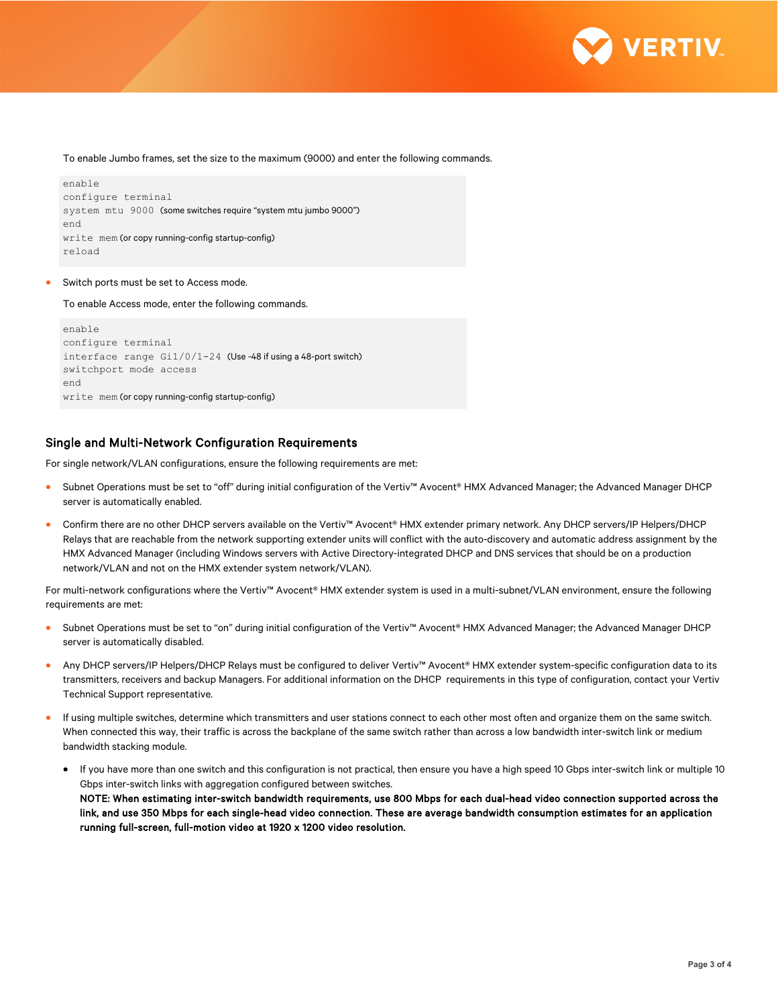

To enable Jumbo frames, set the size to the maximum (9000) and enter the following commands.

```
enable
configure terminal
system mtu 9000 (some switches require "system mtu jumbo 9000")
end
write mem (or copy running-config startup-config)
reload
```
Switch ports must be set to Access mode.

To enable Access mode, enter the following commands.

```
enable
configure terminal
interface range Gi1/0/1-24 (Use -48 if using a 48-port switch)
switchport mode access
end
write mem (or copy running-config startup-config)
```
## Single and Multi-Network Configuration Requirements

For single network/VLAN configurations, ensure the following requirements are met:

- Subnet Operations must be set to "off" during initial configuration of the Vertiv™ Avocent® HMX Advanced Manager; the Advanced Manager DHCP server is automatically enabled.
- Confirm there are no other DHCP servers available on the Vertiv™ Avocent® HMX extender primary network. Any DHCP servers/IP Helpers/DHCP Relays that are reachable from the network supporting extender units will conflict with the auto-discovery and automatic address assignment by the HMX Advanced Manager (including Windows servers with Active Directory-integrated DHCP and DNS services that should be on a production network/VLAN and not on the HMX extender system network/VLAN).

For multi-network configurations where the Vertiv™ Avocent® HMX extender system is used in a multi-subnet/VLAN environment, ensure the following requirements are met:

- Subnet Operations must be set to "on" during initial configuration of the Vertiv™ Avocent® HMX Advanced Manager; the Advanced Manager DHCP server is automatically disabled.
- Any DHCP servers/IP Helpers/DHCP Relays must be configured to deliver Vertiv™ Avocent® HMX extender system-specific configuration data to its transmitters, receivers and backup Managers. For additional information on the DHCP requirements in this type of configuration, contact your Vertiv Technical Support representative.
- If using multiple switches, determine which transmitters and user stations connect to each other most often and organize them on the same switch. When connected this way, their traffic is across the backplane of the same switch rather than across a low bandwidth inter-switch link or medium bandwidth stacking module.
	- If you have more than one switch and this configuration is not practical, then ensure you have a high speed 10 Gbps inter-switch link or multiple 10 Gbps inter-switch links with aggregation configured between switches. NOTE: When estimating inter-switch bandwidth requirements, use 800 Mbps for each dual-head video connection supported across the link, and use 350 Mbps for each single-head video connection. These are average bandwidth consumption estimates for an application running full-screen, full-motion video at 1920 x 1200 video resolution.